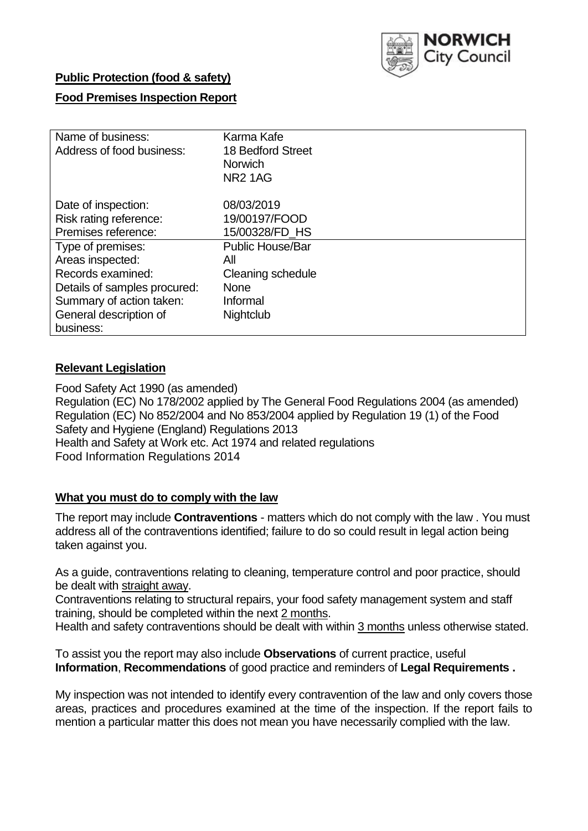

## **Public Protection (food & safety)**

## **Food Premises Inspection Report**

| Name of business:            | Karma Kafe              |
|------------------------------|-------------------------|
| Address of food business:    | 18 Bedford Street       |
|                              | <b>Norwich</b>          |
|                              | <b>NR21AG</b>           |
|                              |                         |
| Date of inspection:          | 08/03/2019              |
| Risk rating reference:       | 19/00197/FOOD           |
| Premises reference:          | 15/00328/FD HS          |
| Type of premises:            | <b>Public House/Bar</b> |
| Areas inspected:             | All                     |
| Records examined:            | Cleaning schedule       |
| Details of samples procured: | <b>None</b>             |
| Summary of action taken:     | Informal                |
| General description of       | Nightclub               |
| business:                    |                         |

## **Relevant Legislation**

Food Safety Act 1990 (as amended) Regulation (EC) No 178/2002 applied by The General Food Regulations 2004 (as amended) Regulation (EC) No 852/2004 and No 853/2004 applied by Regulation 19 (1) of the Food Safety and Hygiene (England) Regulations 2013 Health and Safety at Work etc. Act 1974 and related regulations Food Information Regulations 2014

### **What you must do to comply with the law**

The report may include **Contraventions** - matters which do not comply with the law . You must address all of the contraventions identified; failure to do so could result in legal action being taken against you.

As a guide, contraventions relating to cleaning, temperature control and poor practice, should be dealt with straight away.

Contraventions relating to structural repairs, your food safety management system and staff training, should be completed within the next 2 months.

Health and safety contraventions should be dealt with within 3 months unless otherwise stated.

To assist you the report may also include **Observations** of current practice, useful **Information**, **Recommendations** of good practice and reminders of **Legal Requirements .**

My inspection was not intended to identify every contravention of the law and only covers those areas, practices and procedures examined at the time of the inspection. If the report fails to mention a particular matter this does not mean you have necessarily complied with the law.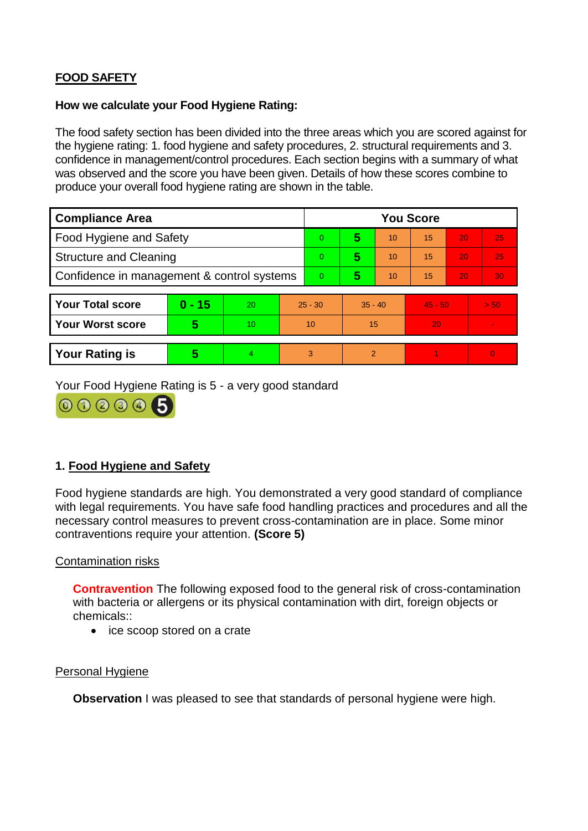# **FOOD SAFETY**

#### **How we calculate your Food Hygiene Rating:**

The food safety section has been divided into the three areas which you are scored against for the hygiene rating: 1. food hygiene and safety procedures, 2. structural requirements and 3. confidence in management/control procedures. Each section begins with a summary of what was observed and the score you have been given. Details of how these scores combine to produce your overall food hygiene rating are shown in the table.

| <b>Compliance Area</b>                     |          |    |          | <b>You Score</b> |                |           |    |           |          |  |  |
|--------------------------------------------|----------|----|----------|------------------|----------------|-----------|----|-----------|----------|--|--|
| Food Hygiene and Safety                    |          |    |          | $\Omega$         | 5              | 10        | 15 | 20        | 25       |  |  |
| <b>Structure and Cleaning</b>              |          |    | $\Omega$ | 5                | 10             | 15        | 20 | 25        |          |  |  |
| Confidence in management & control systems |          |    | $\Omega$ | 5                | 10             | 15        | 20 | 30        |          |  |  |
|                                            |          |    |          |                  |                |           |    |           |          |  |  |
| <b>Your Total score</b>                    | $0 - 15$ | 20 |          | $25 - 30$        |                | $35 - 40$ |    | $45 - 50$ | > 50     |  |  |
| <b>Your Worst score</b>                    | 5        | 10 |          | 10               | 15             |           | 20 |           |          |  |  |
|                                            |          |    |          |                  |                |           |    |           |          |  |  |
| <b>Your Rating is</b>                      | 5        | 4  |          | 3                | $\overline{2}$ |           |    |           | $\Omega$ |  |  |

Your Food Hygiene Rating is 5 - a very good standard



# **1. Food Hygiene and Safety**

Food hygiene standards are high. You demonstrated a very good standard of compliance with legal requirements. You have safe food handling practices and procedures and all the necessary control measures to prevent cross-contamination are in place. Some minor contraventions require your attention. **(Score 5)**

### Contamination risks

**Contravention** The following exposed food to the general risk of cross-contamination with bacteria or allergens or its physical contamination with dirt, foreign objects or chemicals::

• ice scoop stored on a crate

### Personal Hygiene

**Observation** I was pleased to see that standards of personal hygiene were high.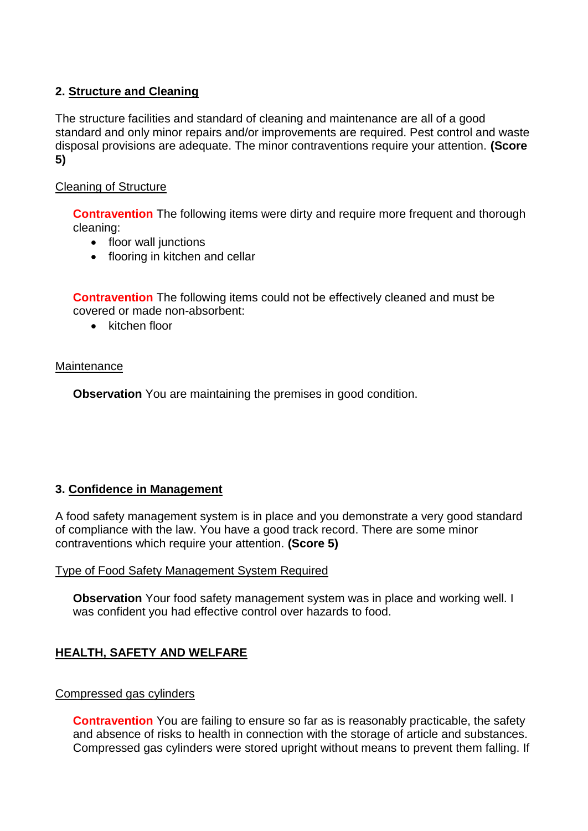# **2. Structure and Cleaning**

The structure facilities and standard of cleaning and maintenance are all of a good standard and only minor repairs and/or improvements are required. Pest control and waste disposal provisions are adequate. The minor contraventions require your attention. **(Score 5)**

## Cleaning of Structure

**Contravention** The following items were dirty and require more frequent and thorough cleaning:

- floor wall junctions
- flooring in kitchen and cellar

**Contravention** The following items could not be effectively cleaned and must be covered or made non-absorbent:

 $\bullet$  kitchen floor

#### **Maintenance**

**Observation** You are maintaining the premises in good condition.

### **3. Confidence in Management**

A food safety management system is in place and you demonstrate a very good standard of compliance with the law. You have a good track record. There are some minor contraventions which require your attention. **(Score 5)**

### Type of Food Safety Management System Required

**Observation** Your food safety management system was in place and working well. I was confident you had effective control over hazards to food.

# **HEALTH, SAFETY AND WELFARE**

#### Compressed gas cylinders

**Contravention** You are failing to ensure so far as is reasonably practicable, the safety and absence of risks to health in connection with the storage of article and substances. Compressed gas cylinders were stored upright without means to prevent them falling. If